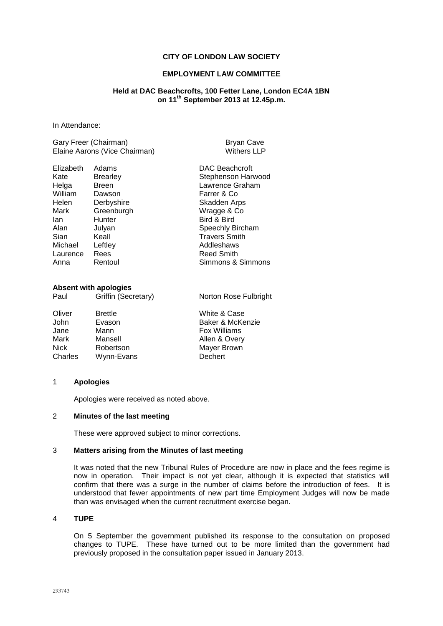## **CITY OF LONDON LAW SOCIETY**

## **EMPLOYMENT LAW COMMITTEE**

## **Held at DAC Beachcrofts, 100 Fetter Lane, London EC4A 1BN on 11th September 2013 at 12.45p.m.**

In Attendance:

Gary Freer (Chairman) Bryan Cave Elaine Aarons (Vice Chairman) Withers LLP

| <b>Withers LI</b> |
|-------------------|
|                   |

| Elizabeth | Adams           | <b>DAC Beachcroft</b> |
|-----------|-----------------|-----------------------|
| Kate      | <b>Brearley</b> | Stephenson Harwood    |
| Helga     | <b>Breen</b>    | Lawrence Graham       |
| William   | Dawson          | Farrer & Co           |
| Helen     | Derbyshire      | Skadden Arps          |
| Mark      | Greenburgh      | Wragge & Co           |
| lan       | Hunter          | Bird & Bird           |
| Alan      | Julyan          | Speechly Bircham      |
| Sian      | Keall           | <b>Travers Smith</b>  |
| Michael   | Leftley         | Addleshaws            |
| Laurence  | Rees            | <b>Reed Smith</b>     |
| Anna      | Rentoul         | Simmons & Simmons     |
|           |                 |                       |

## **Absent with apologies**

Paul Griffin (Secretary) Norton Rose Fulbright

Oliver Brettle White & Case John Evason Baker & McKenzie<br>Jane Mann Bann Box Williams Jane Mann Fox Williams Mark Mansell **Mansell** Allen & Overy<br>Nick Robertson Mayer Brown Mayer Brown<br>Dechert Charles Wynn-Evans

#### 1 **Apologies**

Apologies were received as noted above.

#### 2 **Minutes of the last meeting**

These were approved subject to minor corrections.

#### 3 **Matters arising from the Minutes of last meeting**

It was noted that the new Tribunal Rules of Procedure are now in place and the fees regime is now in operation. Their impact is not yet clear, although it is expected that statistics will confirm that there was a surge in the number of claims before the introduction of fees. It is understood that fewer appointments of new part time Employment Judges will now be made than was envisaged when the current recruitment exercise began.

# 4 **TUPE**

On 5 September the government published its response to the consultation on proposed changes to TUPE. These have turned out to be more limited than the government had previously proposed in the consultation paper issued in January 2013.